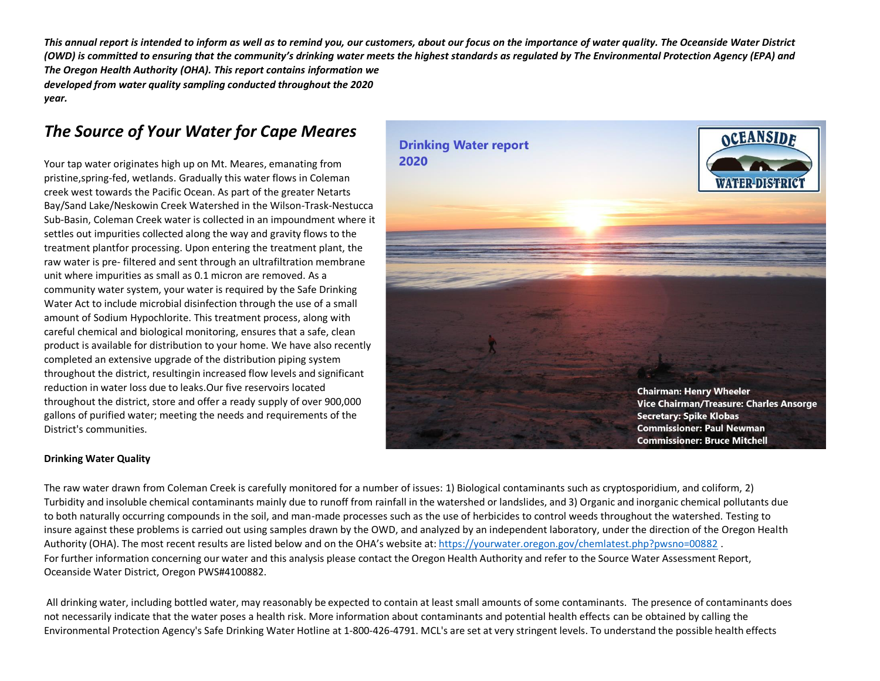*This annual report is intended to inform as well as to remind you, our customers, about our focus on the importance of water quality. The Oceanside Water District* (OWD) is committed to ensuring that the community's drinking water meets the highest standards as regulated by The Environmental Protection Agency (EPA) and *The Oregon Health Authority (OHA). This report contains information we developed from water quality sampling conducted throughout the 2020 year.*

# *The Source of Your Water for Cape Meares*

Your tap water originates high up on Mt. Meares, emanating from pristine,spring-fed, wetlands. Gradually this water flows in Coleman creek west towards the Pacific Ocean. As part of the greater Netarts Bay/Sand Lake/Neskowin Creek Watershed in the Wilson-Trask-Nestucca Sub-Basin, Coleman Creek water is collected in an impoundment where it settles out impurities collected along the way and gravity flows to the treatment plantfor processing. Upon entering the treatment plant, the raw water is pre- filtered and sent through an ultrafiltration membrane unit where impurities as small as 0.1 micron are removed. As a community water system, your water is required by the Safe Drinking Water Act to include microbial disinfection through the use of a small amount of Sodium Hypochlorite. This treatment process, along with careful chemical and biological monitoring, ensures that a safe, clean product is available for distribution to your home. We have also recently completed an extensive upgrade of the distribution piping system throughout the district, resultingin increased flow levels and significant reduction in water loss due to leaks.Our five reservoirs located throughout the district, store and offer a ready supply of over 900,000 gallons of purified water; meeting the needs and requirements of the District's communities.



#### **Drinking Water Quality**

The raw water drawn from Coleman Creek is carefully monitored for a number of issues: 1) Biological contaminants such as cryptosporidium, and coliform, 2) Turbidity and insoluble chemical contaminants mainly due to runoff from rainfall in the watershed or landslides, and 3) Organic and inorganic chemical pollutants due to both naturally occurring compounds in the soil, and man-made processes such as the use of herbicides to control weeds throughout the watershed. Testing to insure against these problems is carried out using samples drawn by the OWD, and analyzed by an independent laboratory, under the direction of the Oregon Health Authority (OHA). The most recent results are listed below and on the OHA's website at: <https://yourwater.oregon.gov/chemlatest.php?pwsno=00882>. For further information concerning our water and this analysis please contact the Oregon Health Authority and refer to the Source Water Assessment Report, Oceanside Water District, Oregon PWS#4100882.

All drinking water, including bottled water, may reasonably be expected to contain at least small amounts of some contaminants. The presence of contaminants does not necessarily indicate that the water poses a health risk. More information about contaminants and potential health effects can be obtained by calling the Environmental Protection Agency's Safe Drinking Water Hotline at 1-800-426-4791. MCL's are set at very stringent levels. To understand the possible health effects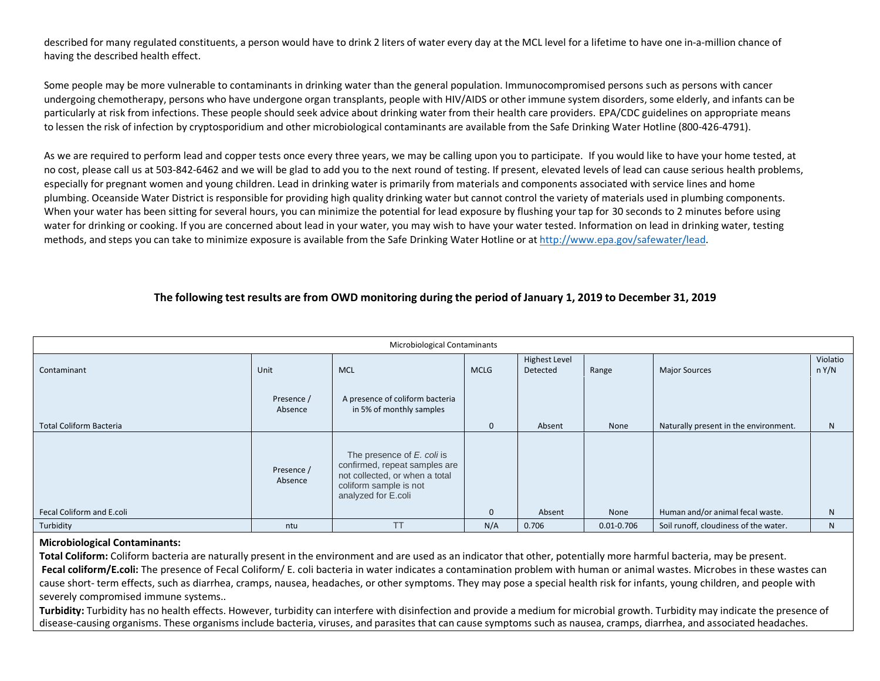described for many regulated constituents, a person would have to drink 2 liters of water every day at the MCL level for a lifetime to have one in-a-million chance of having the described health effect.

Some people may be more vulnerable to contaminants in drinking water than the general population. Immunocompromised persons such as persons with cancer undergoing chemotherapy, persons who have undergone organ transplants, people with HIV/AIDS or other immune system disorders, some elderly, and infants can be particularly at risk from infections. These people should seek advice about drinking water from their health care providers. EPA/CDC guidelines on appropriate means to lessen the risk of infection by cryptosporidium and other microbiological contaminants are available from the Safe Drinking Water Hotline (800-426-4791).

As we are required to perform lead and copper tests once every three years, we may be calling upon you to participate. If you would like to have your home tested, at no cost, please call us at 503-842-6462 and we will be glad to add you to the next round of testing. If present, elevated levels of lead can cause serious health problems, especially for pregnant women and young children. Lead in drinking water is primarily from materials and components associated with service lines and home plumbing. Oceanside Water District is responsible for providing high quality drinking water but cannot control the variety of materials used in plumbing components. When your water has been sitting for several hours, you can minimize the potential for lead exposure by flushing your tap for 30 seconds to 2 minutes before using water for drinking or cooking. If you are concerned about lead in your water, you may wish to have your water tested. Information on lead in drinking water, testing methods, and steps you can take to minimize exposure is available from the Safe Drinking Water Hotline or at [http://www.epa.gov/safewater/lead.](http://www.epa.gov/safewater/lead)

## The following test results are from OWD monitoring during the period of January 1, 2019 to December 31, 2019

| Microbiological Contaminants   |                       |                                                                                                                                                |              |                           |                |                                       |                   |  |
|--------------------------------|-----------------------|------------------------------------------------------------------------------------------------------------------------------------------------|--------------|---------------------------|----------------|---------------------------------------|-------------------|--|
| Contaminant                    | Unit                  | <b>MCL</b>                                                                                                                                     | <b>MCLG</b>  | Highest Level<br>Detected | Range          | <b>Major Sources</b>                  | Violatio<br>n Y/N |  |
|                                |                       |                                                                                                                                                |              |                           |                |                                       |                   |  |
|                                | Presence /<br>Absence | A presence of coliform bacteria<br>in 5% of monthly samples                                                                                    |              |                           |                |                                       |                   |  |
| <b>Total Coliform Bacteria</b> |                       |                                                                                                                                                | $\mathbf{0}$ | Absent                    | None           | Naturally present in the environment. | N                 |  |
| Fecal Coliform and E.coli      | Presence /<br>Absence | The presence of E. coli is<br>confirmed, repeat samples are<br>not collected, or when a total<br>coliform sample is not<br>analyzed for E.coli | $\mathbf{0}$ | Absent                    | None           | Human and/or animal fecal waste.      | N                 |  |
|                                |                       |                                                                                                                                                |              |                           |                |                                       |                   |  |
| Turbidity                      | ntu                   | <b>TT</b>                                                                                                                                      | N/A          | 0.706                     | $0.01 - 0.706$ | Soil runoff, cloudiness of the water. | N                 |  |

#### **Microbiological Contaminants:**

**Total Coliform:** Coliform bacteria are naturally present in the environment and are used as an indicator that other, potentially more harmful bacteria, may be present. **Fecal coliform/E.coli:** The presence of Fecal Coliform/ E. coli bacteria in water indicates a contamination problem with human or animal wastes. Microbes in these wastes can cause short- term effects, such as diarrhea, cramps, nausea, headaches, or other symptoms. They may pose a special health risk for infants, young children, and people with severely compromised immune systems..

**Turbidity:** Turbidity has no health effects. However, turbidity can interfere with disinfection and provide a medium for microbial growth. Turbidity may indicate the presence of disease-causing organisms. These organisms include bacteria, viruses, and parasites that can cause symptoms such as nausea, cramps, diarrhea, and associated headaches.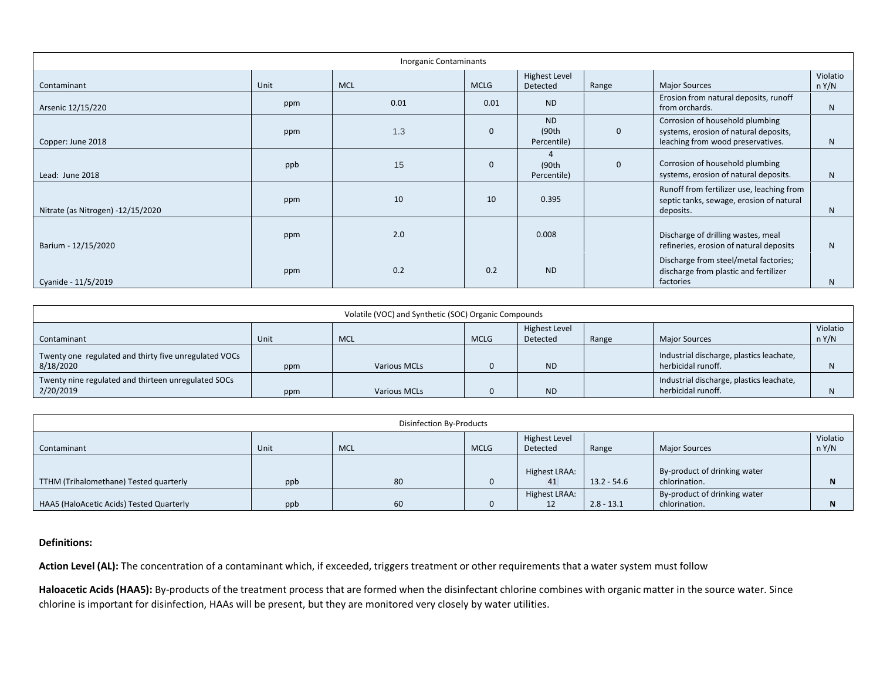| <b>Inorganic Contaminants</b>     |      |            |              |                                    |              |                                                                                                               |                   |  |
|-----------------------------------|------|------------|--------------|------------------------------------|--------------|---------------------------------------------------------------------------------------------------------------|-------------------|--|
| Contaminant                       | Unit | <b>MCL</b> | <b>MCLG</b>  | <b>Highest Level</b><br>Detected   | Range        | <b>Major Sources</b>                                                                                          | Violatio<br>n Y/N |  |
| Arsenic 12/15/220                 | ppm  | 0.01       | 0.01         | <b>ND</b>                          |              | Erosion from natural deposits, runoff<br>from orchards.                                                       | N.                |  |
| Copper: June 2018                 | ppm  | 1.3        | $\Omega$     | <b>ND</b><br>(90th)<br>Percentile) | $\mathbf 0$  | Corrosion of household plumbing<br>systems, erosion of natural deposits,<br>leaching from wood preservatives. | N                 |  |
| Lead: June 2018                   | ppb  | 15         | $\mathbf{0}$ | (90th)<br>Percentile)              | $\mathbf{0}$ | Corrosion of household plumbing<br>systems, erosion of natural deposits.                                      | N                 |  |
| Nitrate (as Nitrogen) -12/15/2020 | ppm  | 10         | 10           | 0.395                              |              | Runoff from fertilizer use, leaching from<br>septic tanks, sewage, erosion of natural<br>deposits.            | N                 |  |
| Barium - 12/15/2020               | ppm  | 2.0        |              | 0.008                              |              | Discharge of drilling wastes, meal<br>refineries, erosion of natural deposits                                 | N                 |  |
| Cyanide - 11/5/2019               | ppm  | 0.2        | 0.2          | <b>ND</b>                          |              | Discharge from steel/metal factories;<br>discharge from plastic and fertilizer<br>factories                   | N                 |  |

| Volatile (VOC) and Synthetic (SOC) Organic Compounds               |      |              |             |                           |       |                                                                |                   |
|--------------------------------------------------------------------|------|--------------|-------------|---------------------------|-------|----------------------------------------------------------------|-------------------|
| Contaminant                                                        | Unit | <b>MCL</b>   | <b>MCLG</b> | Highest Level<br>Detected | Range | <b>Major Sources</b>                                           | Violatio<br>n Y/N |
| Twenty one regulated and thirty five unregulated VOCs<br>8/18/2020 | ppm  | Various MCLs |             | <b>ND</b>                 |       | Industrial discharge, plastics leachate,<br>herbicidal runoff. |                   |
| Twenty nine regulated and thirteen unregulated SOCs<br>2/20/2019   | ppm  | Various MCLs |             | <b>ND</b>                 |       | Industrial discharge, plastics leachate,<br>herbicidal runoff. |                   |

| Disinfection By-Products                 |      |            |             |                           |               |                                               |                   |  |
|------------------------------------------|------|------------|-------------|---------------------------|---------------|-----------------------------------------------|-------------------|--|
| Contaminant                              | Unit | <b>MCL</b> | <b>MCLG</b> | Highest Level<br>Detected | Range         | <b>Major Sources</b>                          | Violatio<br>n Y/N |  |
| TTHM (Trihalomethane) Tested quarterly   | ppb  | 80         |             | Highest LRAA:<br>41       | $13.2 - 54.6$ | By-product of drinking water<br>chlorination. |                   |  |
| HAA5 (HaloAcetic Acids) Tested Quarterly | ppb  | 60         |             | Highest LRAA:<br>12       | $2.8 - 13.1$  | By-product of drinking water<br>chlorination. |                   |  |

### **Definitions:**

**Action Level (AL):** The concentration of a contaminant which, if exceeded, triggers treatment or other requirements that a water system must follow

**Haloacetic Acids (HAA5):** By-products of the treatment process that are formed when the disinfectant chlorine combines with organic matter in the source water. Since chlorine is important for disinfection, HAAs will be present, but they are monitored very closely by water utilities.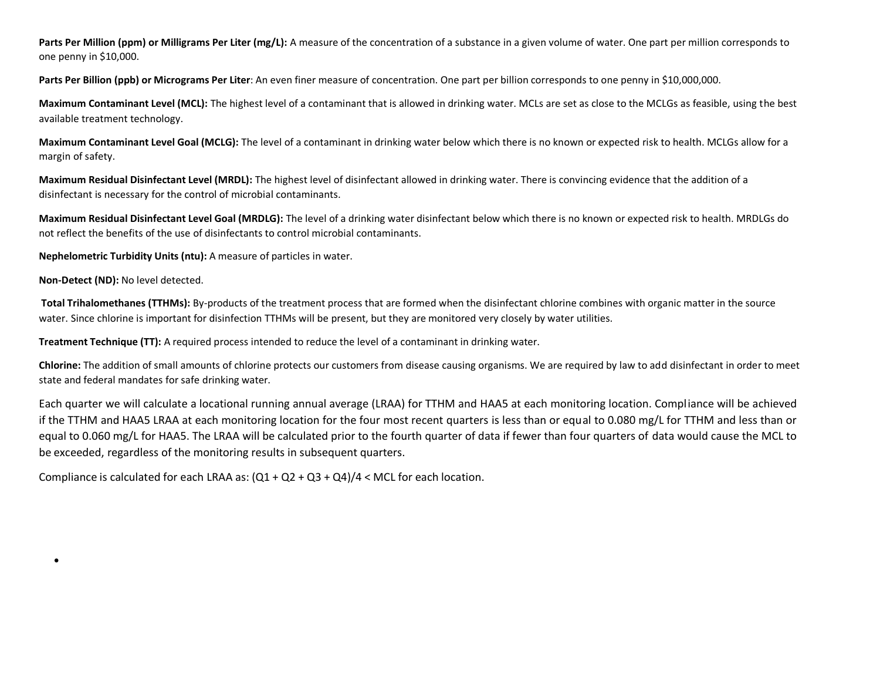Parts Per Million (ppm) or Milligrams Per Liter (mg/L): A measure of the concentration of a substance in a given volume of water. One part per million corresponds to one penny in \$10,000.

**Parts Per Billion (ppb) or Micrograms Per Liter**: An even finer measure of concentration. One part per billion corresponds to one penny in \$10,000,000.

**Maximum Contaminant Level (MCL):** The highest level of a contaminant that is allowed in drinking water. MCLs are set as close to the MCLGs as feasible, using the best available treatment technology.

**Maximum Contaminant Level Goal (MCLG):** The level of a contaminant in drinking water below which there is no known or expected risk to health. MCLGs allow for a margin of safety.

**Maximum Residual Disinfectant Level (MRDL):** The highest level of disinfectant allowed in drinking water. There is convincing evidence that the addition of a disinfectant is necessary for the control of microbial contaminants.

**Maximum Residual Disinfectant Level Goal (MRDLG):** The level of a drinking water disinfectant below which there is no known or expected risk to health. MRDLGs do not reflect the benefits of the use of disinfectants to control microbial contaminants.

**Nephelometric Turbidity Units (ntu):** A measure of particles in water.

**Non-Detect (ND):** No level detected.

•

**Total Trihalomethanes (TTHMs):** By-products of the treatment process that are formed when the disinfectant chlorine combines with organic matter in the source water. Since chlorine is important for disinfection TTHMs will be present, but they are monitored very closely by water utilities.

**Treatment Technique (TT):** A required process intended to reduce the level of a contaminant in drinking water.

**Chlorine:** The addition of small amounts of chlorine protects our customers from disease causing organisms. We are required by law to add disinfectant in order to meet state and federal mandates for safe drinking water.

Each quarter we will calculate a locational running annual average (LRAA) for TTHM and HAA5 at each monitoring location. Compliance will be achieved if the TTHM and HAA5 LRAA at each monitoring location for the four most recent quarters is less than or equal to 0.080 mg/L for TTHM and less than or equal to 0.060 mg/L for HAA5. The LRAA will be calculated prior to the fourth quarter of data if fewer than four quarters of data would cause the MCL to be exceeded, regardless of the monitoring results in subsequent quarters.

Compliance is calculated for each LRAA as:  $(Q1 + Q2 + Q3 + Q4)/4 <$  MCL for each location.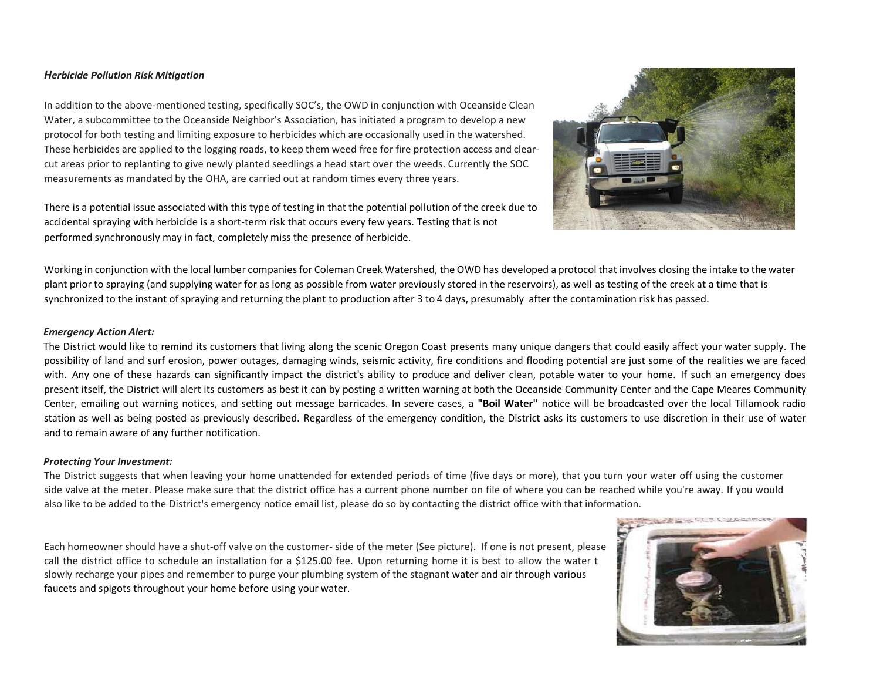#### *Herbicide Pollution Risk Mitigation*

In addition to the above-mentioned testing, specifically SOC's, the OWD in conjunction with Oceanside Clean Water, a subcommittee to the Oceanside Neighbor's Association, has initiated a program to develop a new protocol for both testing and limiting exposure to herbicides which are occasionally used in the watershed. These herbicides are applied to the logging roads, to keep them weed free for fire protection access and clearcut areas prior to replanting to give newly planted seedlings a head start over the weeds. Currently the SOC measurements as mandated by the OHA, are carried out at random times every three years.

There is a potential issue associated with this type of testing in that the potential pollution of the creek due to accidental spraying with herbicide is a short-term risk that occurs every few years. Testing that is not performed synchronously may in fact, completely miss the presence of herbicide.



Working in conjunction with the local lumber companies for Coleman Creek Watershed, the OWD has developed a protocol that involves closing the intake to the water plant prior to spraying (and supplying water for as long as possible from water previously stored in the reservoirs), as well as testing of the creek at a time that is synchronized to the instant of spraying and returning the plant to production after 3 to 4 days, presumably after the contamination risk has passed.

#### *Emergency Action Alert:*

The District would like to remind its customers that living along the scenic Oregon Coast presents many unique dangers that could easily affect your water supply. The possibility of land and surf erosion, power outages, damaging winds, seismic activity, fire conditions and flooding potential are just some of the realities we are faced with. Any one of these hazards can significantly impact the district's ability to produce and deliver clean, potable water to your home. If such an emergency does present itself, the District will alert its customers as best it can by posting a written warning at both the Oceanside Community Center and the Cape Meares Community Center, emailing out warning notices, and setting out message barricades. In severe cases, a **"Boil Water"** notice will be broadcasted over the local Tillamook radio station as well as being posted as previously described. Regardless of the emergency condition, the District asks its customers to use discretion in their use of water and to remain aware of any further notification.

#### *Protecting Your Investment:*

The District suggests that when leaving your home unattended for extended periods of time (five days or more), that you turn your water off using the customer side valve at the meter. Please make sure that the district office has a current phone number on file of where you can be reached while you're away. If you would also like to be added to the District's emergency notice email list, please do so by contacting the district office with that information.

Each homeowner should have a shut-off valve on the customer- side of the meter (See picture). If one is not present, please call the district office to schedule an installation for a \$125.00 fee. Upon returning home it is best to allow the water t slowly recharge your pipes and remember to purge your plumbing system of the stagnant water and air through various faucets and spigots throughout your home before using your water.